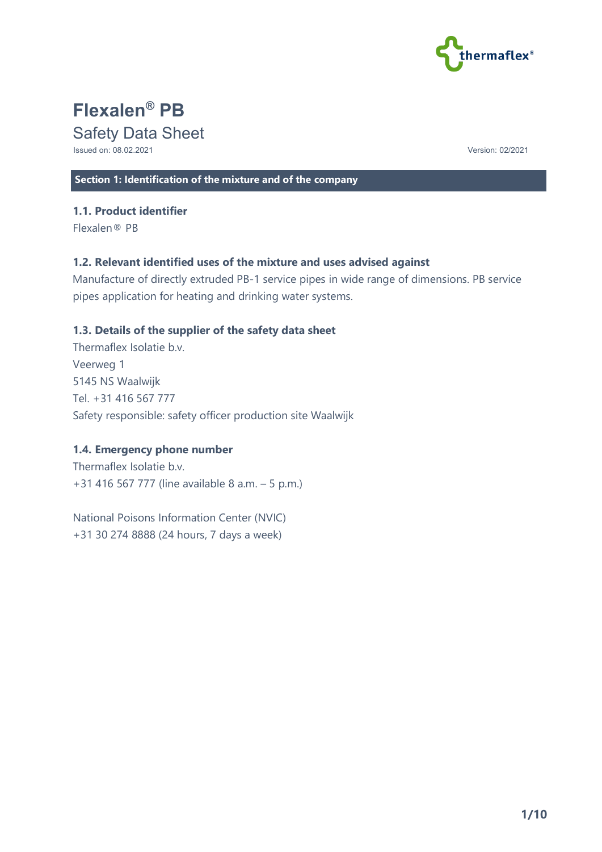

# **Flexalen® PB**

# Safety Data Sheet

Issued on: 08.02.2021 Version: 02/2021

**Section 1: Identification of the mixture and of the company**

## **1.1. Product identifier**

Flexalen® PB

# **1.2. Relevant identified uses of the mixture and uses advised against**

Manufacture of directly extruded PB-1 service pipes in wide range of dimensions. PB service pipes application for heating and drinking water systems.

# **1.3. Details of the supplier of the safety data sheet**

Thermaflex Isolatie b.v. Veerweg 1 5145 NS Waalwijk Tel. +31 416 567 777 Safety responsible: safety officer production site Waalwijk

# **1.4. Emergency phone number**

Thermaflex Isolatie b.v. +31 416 567 777 (line available 8 a.m. – 5 p.m.)

National Poisons Information Center (NVIC) +31 30 274 8888 (24 hours, 7 days a week)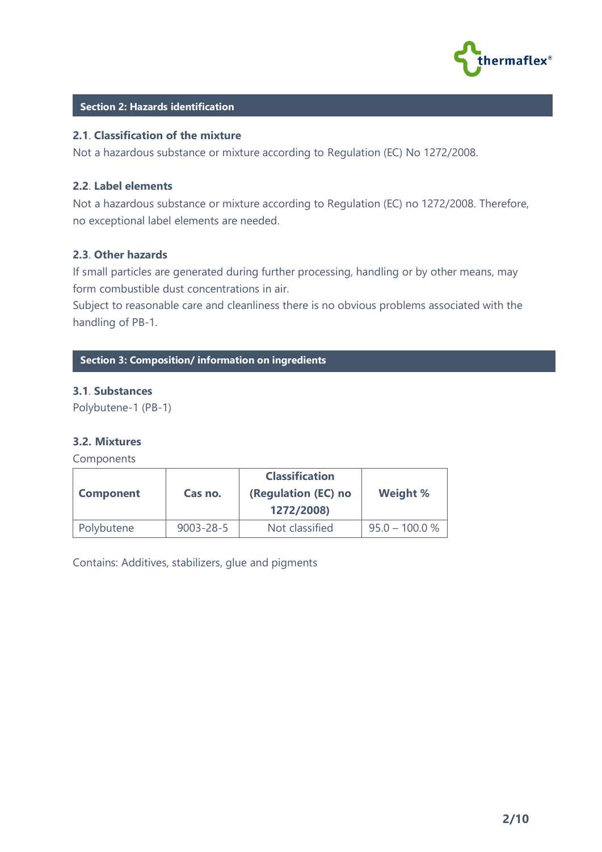

#### **Section 2: Hazards identification**

#### **2.1**. **Classification of the mixture**

Not a hazardous substance or mixture according to Regulation (EC) No 1272/2008.

#### **2.2**. **Label elements**

Not a hazardous substance or mixture according to Regulation (EC) no 1272/2008. Therefore, no exceptional label elements are needed.

#### **2.3**. **Other hazards**

If small particles are generated during further processing, handling or by other means, may form combustible dust concentrations in air.

Subject to reasonable care and cleanliness there is no obvious problems associated with the handling of PB-1.

**C Section 3: Composition/ information on ingredients**

#### **3.1**. **Substances**

Polybutene-1 (PB-1)

### **3.2. Mixtures**

Components

| <b>Component</b> | Cas no.         | <b>Classification</b><br>(Regulation (EC) no<br>1272/2008) | Weight %         |
|------------------|-----------------|------------------------------------------------------------|------------------|
| Polybutene       | $9003 - 28 - 5$ | Not classified                                             | $95.0 - 100.0 %$ |

Contains: Additives, stabilizers, glue and pigments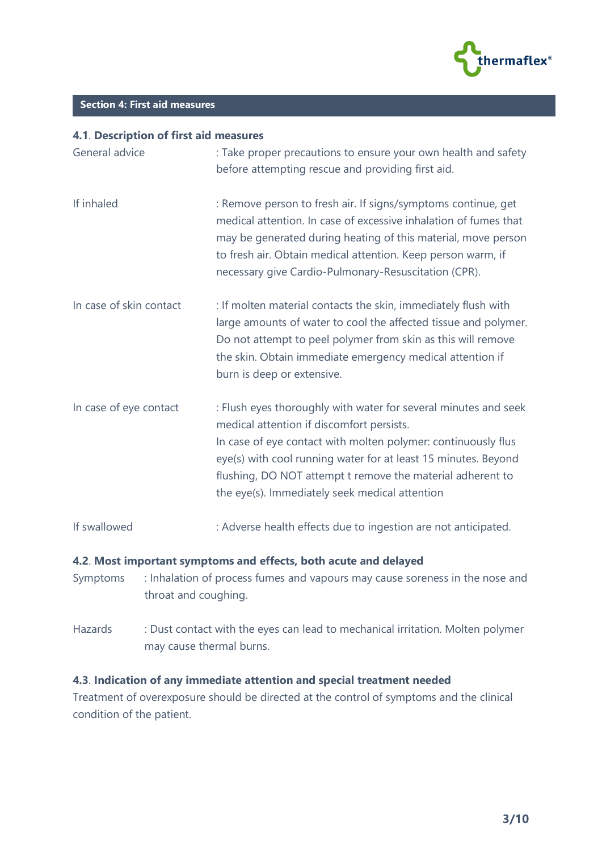

# **C Section 4: First aid measures**

#### **4.1**. **Description of first aid measures**

| General advice          | : Take proper precautions to ensure your own health and safety<br>before attempting rescue and providing first aid.                                                                                                                                                                                                                                             |
|-------------------------|-----------------------------------------------------------------------------------------------------------------------------------------------------------------------------------------------------------------------------------------------------------------------------------------------------------------------------------------------------------------|
| If inhaled              | : Remove person to fresh air. If signs/symptoms continue, get<br>medical attention. In case of excessive inhalation of fumes that<br>may be generated during heating of this material, move person<br>to fresh air. Obtain medical attention. Keep person warm, if<br>necessary give Cardio-Pulmonary-Resuscitation (CPR).                                      |
| In case of skin contact | : If molten material contacts the skin, immediately flush with<br>large amounts of water to cool the affected tissue and polymer.<br>Do not attempt to peel polymer from skin as this will remove<br>the skin. Obtain immediate emergency medical attention if<br>burn is deep or extensive.                                                                    |
| In case of eye contact  | : Flush eyes thoroughly with water for several minutes and seek<br>medical attention if discomfort persists.<br>In case of eye contact with molten polymer: continuously flus<br>eye(s) with cool running water for at least 15 minutes. Beyond<br>flushing, DO NOT attempt t remove the material adherent to<br>the eye(s). Immediately seek medical attention |
| If swallowed            | : Adverse health effects due to ingestion are not anticipated.                                                                                                                                                                                                                                                                                                  |

#### **4.2**. **Most important symptoms and effects, both acute and delayed**

- Symptoms : Inhalation of process fumes and vapours may cause soreness in the nose and throat and coughing.
- Hazards : Dust contact with the eyes can lead to mechanical irritation. Molten polymer may cause thermal burns.

# **4.3**. **Indication of any immediate attention and special treatment needed**

Treatment of overexposure should be directed at the control of symptoms and the clinical condition of the patient.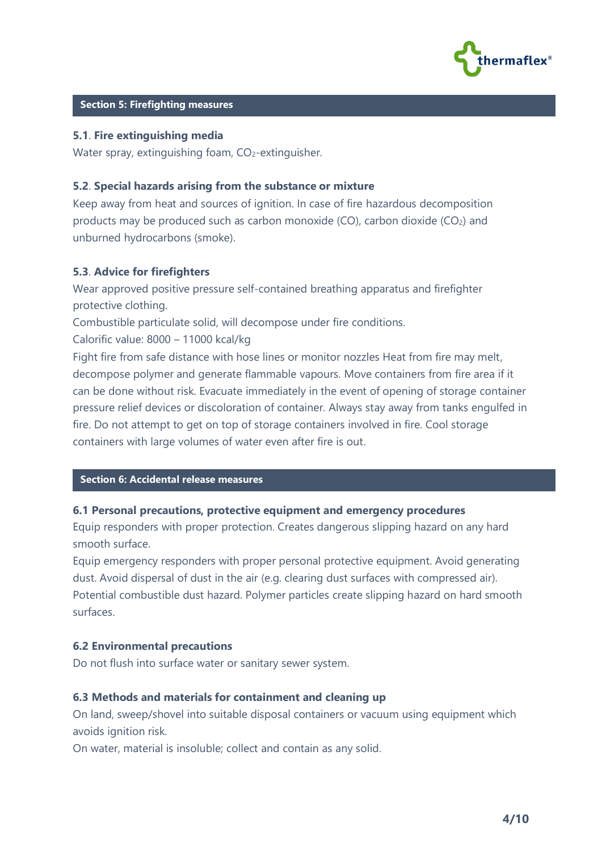

#### **Section 5: Firefighting measures**

#### **5.1**. **Fire extinguishing media**

Water spray, extinguishing foam,  $CO<sub>2</sub>$ -extinguisher.

#### **5.2**. **Special hazards arising from the substance or mixture**

Keep away from heat and sources of ignition. In case of fire hazardous decomposition products may be produced such as carbon monoxide (CO), carbon dioxide ( $CO<sub>2</sub>$ ) and unburned hydrocarbons (smoke).

#### **5.3**. **Advice for firefighters**

Wear approved positive pressure self-contained breathing apparatus and firefighter protective clothing.

Combustible particulate solid, will decompose under fire conditions.

Calorific value: 8000 – 11000 kcal/kg

Fight fire from safe distance with hose lines or monitor nozzles Heat from fire may melt, decompose polymer and generate flammable vapours. Move containers from fire area if it can be done without risk. Evacuate immediately in the event of opening of storage container pressure relief devices or discoloration of container. Always stay away from tanks engulfed in fire. Do not attempt to get on top of storage containers involved in fire. Cool storage containers with large volumes of water even after fire is out.

#### **Section 6: Accidental release measures**

#### **6.1 Personal precautions, protective equipment and emergency procedures**

Equip responders with proper protection. Creates dangerous slipping hazard on any hard smooth surface.

Equip emergency responders with proper personal protective equipment. Avoid generating dust. Avoid dispersal of dust in the air (e.g. clearing dust surfaces with compressed air). Potential combustible dust hazard. Polymer particles create slipping hazard on hard smooth surfaces.

#### **6.2 Environmental precautions**

Do not flush into surface water or sanitary sewer system.

#### **6.3 Methods and materials for containment and cleaning up**

On land, sweep/shovel into suitable disposal containers or vacuum using equipment which avoids ignition risk.

On water, material is insoluble; collect and contain as any solid.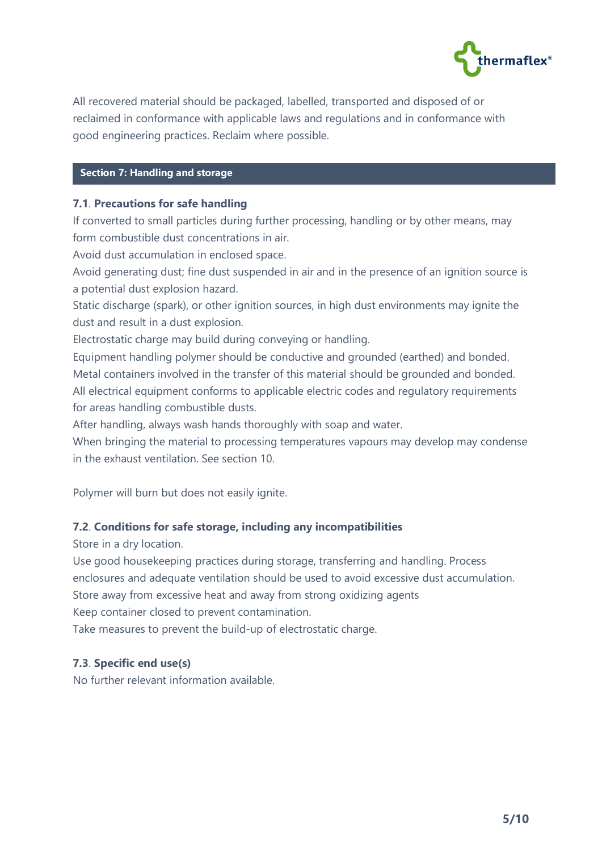

All recovered material should be packaged, labelled, transported and disposed of or reclaimed in conformance with applicable laws and regulations and in conformance with good engineering practices. Reclaim where possible.

# **Section 7: Handling and storage**

## **7.1**. **Precautions for safe handling**

If converted to small particles during further processing, handling or by other means, may form combustible dust concentrations in air.

Avoid dust accumulation in enclosed space.

Avoid generating dust; fine dust suspended in air and in the presence of an ignition source is a potential dust explosion hazard.

Static discharge (spark), or other ignition sources, in high dust environments may ignite the dust and result in a dust explosion.

Electrostatic charge may build during conveying or handling.

Equipment handling polymer should be conductive and grounded (earthed) and bonded. Metal containers involved in the transfer of this material should be grounded and bonded. All electrical equipment conforms to applicable electric codes and regulatory requirements for areas handling combustible dusts.

After handling, always wash hands thoroughly with soap and water.

When bringing the material to processing temperatures vapours may develop may condense in the exhaust ventilation. See section 10.

Polymer will burn but does not easily ignite.

# **7.2**. **Conditions for safe storage, including any incompatibilities**

Store in a dry location.

Use good housekeeping practices during storage, transferring and handling. Process enclosures and adequate ventilation should be used to avoid excessive dust accumulation. Store away from excessive heat and away from strong oxidizing agents

Keep container closed to prevent contamination.

Take measures to prevent the build-up of electrostatic charge.

# **7.3**. **Specific end use(s)**

No further relevant information available.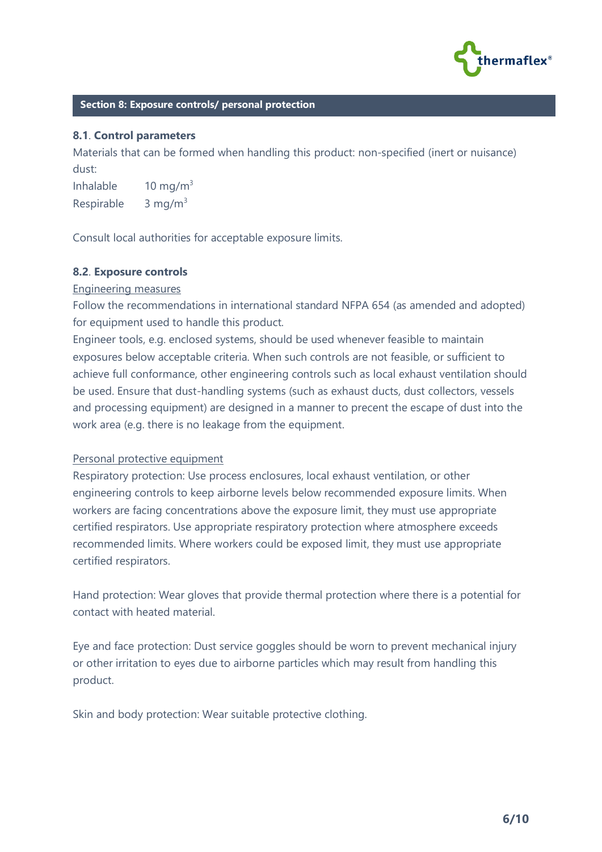

#### **Section 8: Exposure controls/ personal protection**

#### **8.1**. **Control parameters**

Materials that can be formed when handling this product: non-specified (inert or nuisance) dust:

Inhalable  $10 \text{ mg/m}^3$ Respirable  $3 \text{ mg/m}^3$ 

Consult local authorities for acceptable exposure limits.

#### **8.2**. **Exposure controls**

#### Engineering measures

Follow the recommendations in international standard NFPA 654 (as amended and adopted) for equipment used to handle this product.

Engineer tools, e.g. enclosed systems, should be used whenever feasible to maintain exposures below acceptable criteria. When such controls are not feasible, or sufficient to achieve full conformance, other engineering controls such as local exhaust ventilation should be used. Ensure that dust-handling systems (such as exhaust ducts, dust collectors, vessels and processing equipment) are designed in a manner to precent the escape of dust into the work area (e.g. there is no leakage from the equipment.

#### Personal protective equipment

Respiratory protection: Use process enclosures, local exhaust ventilation, or other engineering controls to keep airborne levels below recommended exposure limits. When workers are facing concentrations above the exposure limit, they must use appropriate certified respirators. Use appropriate respiratory protection where atmosphere exceeds recommended limits. Where workers could be exposed limit, they must use appropriate certified respirators.

Hand protection: Wear gloves that provide thermal protection where there is a potential for contact with heated material.

Eye and face protection: Dust service goggles should be worn to prevent mechanical injury or other irritation to eyes due to airborne particles which may result from handling this product.

Skin and body protection: Wear suitable protective clothing.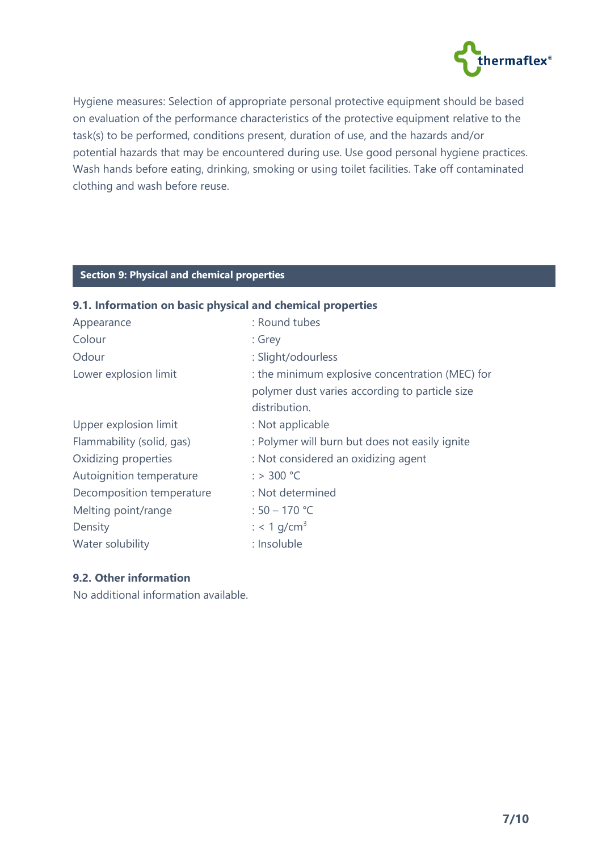

Hygiene measures: Selection of appropriate personal protective equipment should be based on evaluation of the performance characteristics of the protective equipment relative to the task(s) to be performed, conditions present, duration of use, and the hazards and/or potential hazards that may be encountered during use. Use good personal hygiene practices. Wash hands before eating, drinking, smoking or using toilet facilities. Take off contaminated clothing and wash before reuse.

# **C Section 9: Physical and chemical properties**

# **9.1. Information on basic physical and chemical properties**

| : Round tubes                                   |
|-------------------------------------------------|
| : Grey                                          |
| : Slight/odourless                              |
| : the minimum explosive concentration (MEC) for |
| polymer dust varies according to particle size  |
| distribution.                                   |
| : Not applicable                                |
| : Polymer will burn but does not easily ignite  |
| : Not considered an oxidizing agent             |
| $:$ > 300 °C                                    |
| : Not determined                                |
| : $50 - 170$ °C                                 |
| : < 1 g/cm <sup>3</sup>                         |
| : Insoluble                                     |
|                                                 |

#### **9.2. Other information**

No additional information available.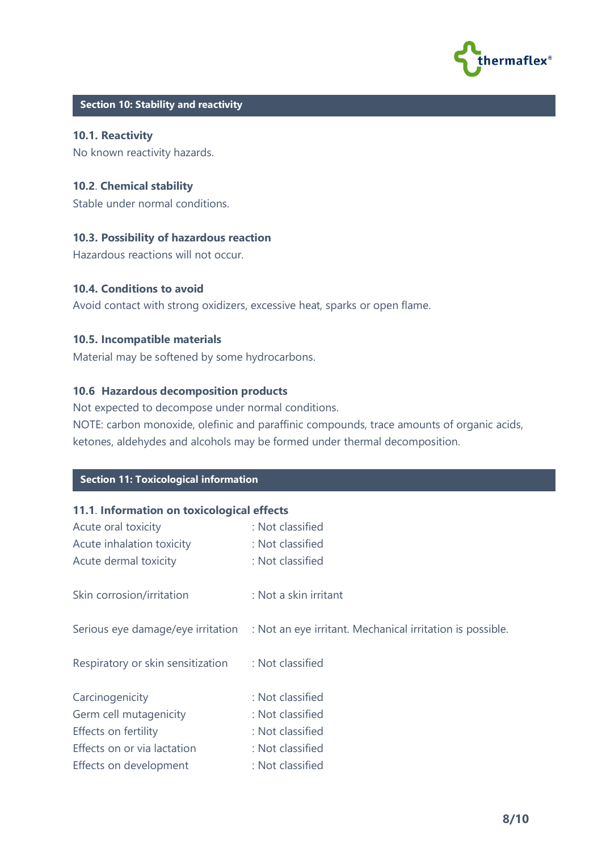

# **C Section 10: Stability and reactivity**

**10.1. Reactivity** No known reactivity hazards.

#### **10.2**. **Chemical stability**

Stable under normal conditions.

#### **10.3. Possibility of hazardous reaction**

Hazardous reactions will not occur.

#### **10.4. Conditions to avoid**

Avoid contact with strong oxidizers, excessive heat, sparks or open flame.

#### **10.5. Incompatible materials**

Material may be softened by some hydrocarbons.

#### **10.6 Hazardous decomposition products**

Not expected to decompose under normal conditions.

NOTE: carbon monoxide, olefinic and paraffinic compounds, trace amounts of organic acids, ketones, aldehydes and alcohols may be formed under thermal decomposition.

# **C Section 11: Toxicological information**

#### **11.1**. **Information on toxicological effects**

| Acute oral toxicity               | : Not classified                                                                            |
|-----------------------------------|---------------------------------------------------------------------------------------------|
| Acute inhalation toxicity         | : Not classified                                                                            |
| Acute dermal toxicity             | : Not classified                                                                            |
| Skin corrosion/irritation         | : Not a skin irritant                                                                       |
|                                   | Serious eye damage/eye irritation : Not an eye irritant. Mechanical irritation is possible. |
| Respiratory or skin sensitization | : Not classified                                                                            |
| Carcinogenicity                   | : Not classified                                                                            |
| Germ cell mutagenicity            | : Not classified                                                                            |
| Effects on fertility              | : Not classified                                                                            |
| Effects on or via lactation       | : Not classified                                                                            |
| Effects on development            | : Not classified                                                                            |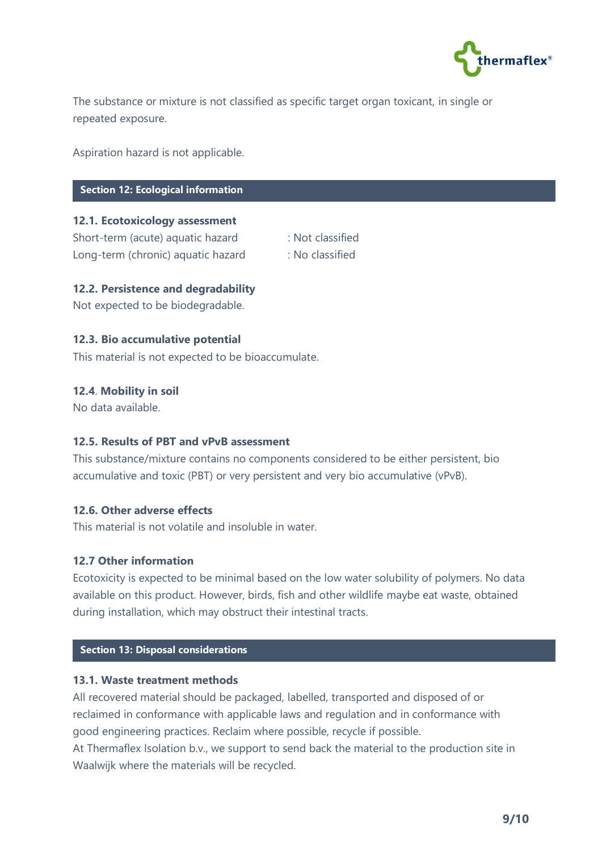

The substance or mixture is not classified as specific target organ toxicant, in single or repeated exposure.

Aspiration hazard is not applicable.

# **Section 12: Ecological information**

# **12.1. Ecotoxicology assessment**

Short-term (acute) aquatic hazard : Not classified Long-term (chronic) aquatic hazard : No classified

- 
- 

#### **12.2. Persistence and degradability**

Not expected to be biodegradable.

#### **12.3. Bio accumulative potential**

This material is not expected to be bioaccumulate.

#### **12.4**. **Mobility in soil**

No data available.

### **12.5. Results of PBT and vPvB assessment**

This substance/mixture contains no components considered to be either persistent, bio accumulative and toxic (PBT) or very persistent and very bio accumulative (vPvB).

#### **12.6. Other adverse effects**

This material is not volatile and insoluble in water.

#### **12.7 Other information**

Ecotoxicity is expected to be minimal based on the low water solubility of polymers. No data available on this product. However, birds, fish and other wildlife maybe eat waste, obtained during installation, which may obstruct their intestinal tracts.

# **C Section 13: Disposal considerations**

#### **13.1. Waste treatment methods**

All recovered material should be packaged, labelled, transported and disposed of or reclaimed in conformance with applicable laws and regulation and in conformance with good engineering practices. Reclaim where possible, recycle if possible.

At Thermaflex Isolation b.v., we support to send back the material to the production site in Waalwijk where the materials will be recycled.